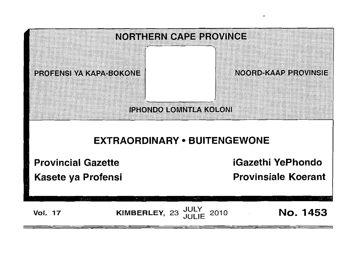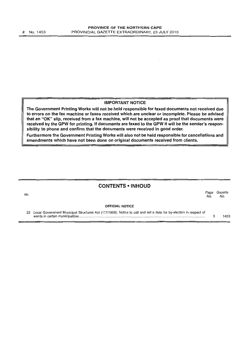$\bar{z}$ 

#### **IMPORTANT NOTICE**

**The Government Printing Works will not be held responsible for faxed documents not received due to errors on the fax machine or faxes received which are unclear or incomplete. Please be advised that an** "OK" **slip, received from a fax machine, will not be accepted as proof that documents were received by the GPW for printing. If documents are faxed to the GPW it will be the sender's responsibility to phone and confirm that the documents were received in good order.** 

**Furthermore the Government Printing Works will also not be held responsible for cancellations and amendments which have not been done on original documents received from clients.** 

## **CONTENTS • INHOUD**

| No. |                                                                                                                   | Page<br>No. | Gazette<br>No. |  |
|-----|-------------------------------------------------------------------------------------------------------------------|-------------|----------------|--|
|     | <b>OFFICIAL NOTICE</b>                                                                                            |             |                |  |
| 22  | Local Government Municipal Structures Act (117/1998): Notice to call and set a date for by-election in respect of |             | 1453           |  |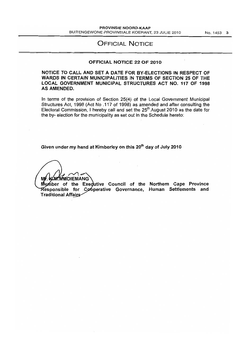# OFFICIAL NOTICE

#### OFFICIAL NOTICE 22 OF 2010

### NOTICE TO CALL AND SET A DATE FOR BY-ELECTIONS IN RESPECT OF WARDS IN CERTAIN MUNICIPALITIES IN TERMS OF SECTION 25 OF THE LOCAL GOVERNMENT MUNICIPAL STRUCTURES ACT NO. 117 OF 1998 AS AMENDED.

In terms of the provision of Section 25(4) of the Local Government Municipal Structures Act, 1998 (Act No .117 of 1998) as amended and after consulting the Electoral Commission, I hereby call and set the  $25<sup>th</sup>$  August 2010 as the date for the by- election for the municipality as set out in the Schedule hereto:

Given under my hand at Kimberley on this 20<sup>th</sup> day of July 2010

**M** k **M'MMOIEMANG** 

Member of the Exedutive Council of the Northern Cape Province Responsible for Cooperative Governance, Human Settlements and Traditional Affairs